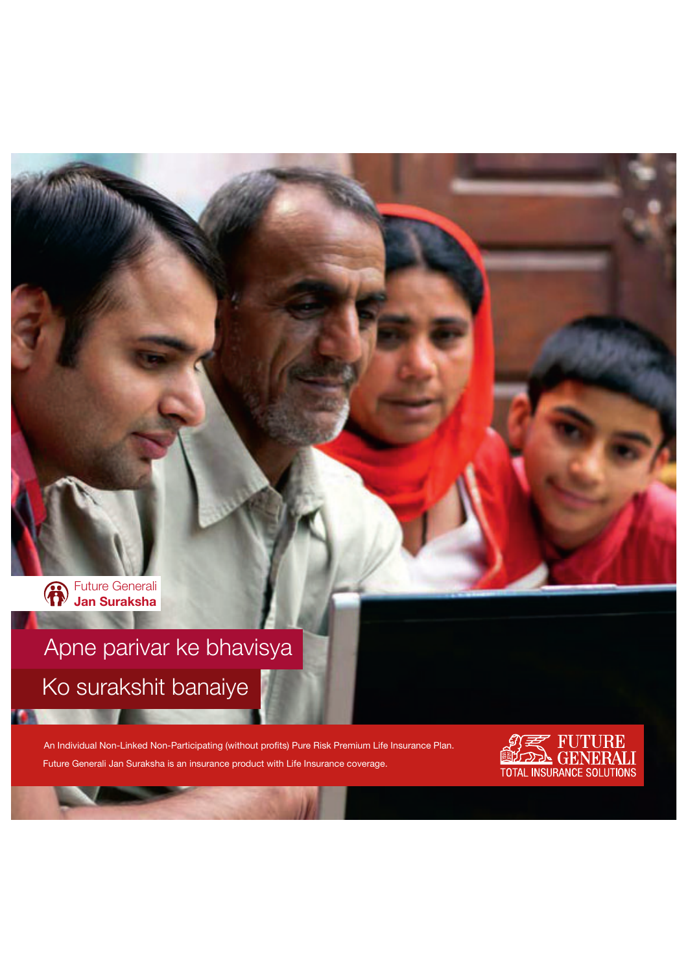

# Apne parivar ke bhavisya Ko surakshit banaiye

An Individual Non-Linked Non-Participating (without profits) Pure Risk Premium Life Insurance Plan. Future Generali Jan Suraksha is an insurance product with Life Insurance coverage.

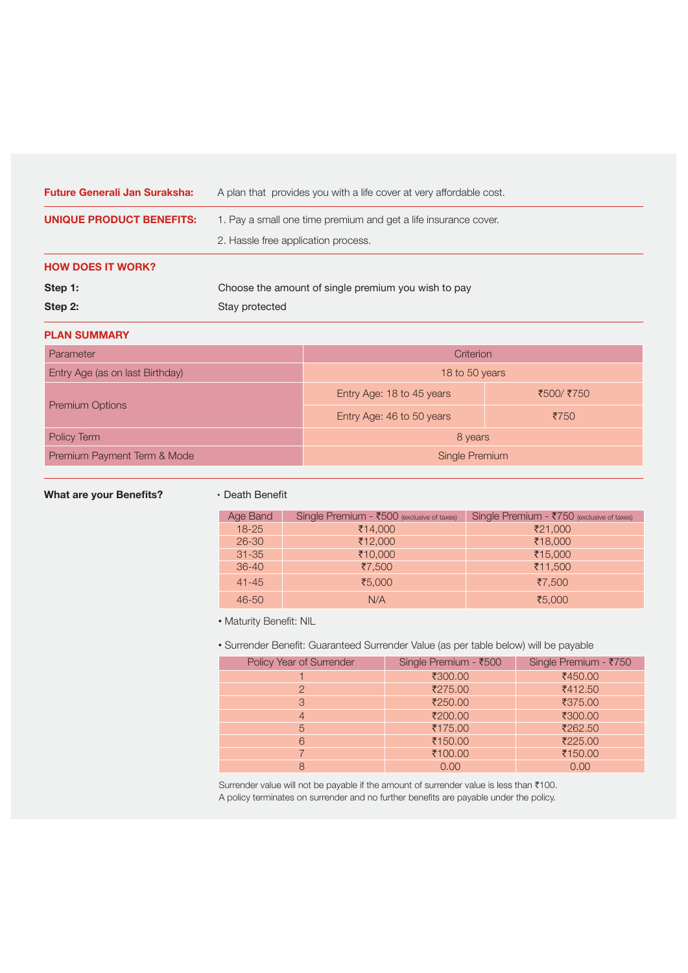| <b>Future Generali Jan Suraksha:</b> | A plan that provides you with a life cover at very affordable cost. |  |
|--------------------------------------|---------------------------------------------------------------------|--|
| UNIQUE PRODUCT BENEFITS:             | 1. Pay a small one time premium and get a life insurance cover.     |  |
|                                      | 2. Hassle free application process.                                 |  |
| <b>HOW DOES IT WORK?</b>             |                                                                     |  |
| Step 1:                              | Choose the amount of single premium you wish to pay                 |  |
| Step 2:                              | Stay protected                                                      |  |

# **PLAN SUMMARY**

| Parameter                       | Criterion                 |            |
|---------------------------------|---------------------------|------------|
| Entry Age (as on last Birthday) | 18 to 50 years            |            |
|                                 | Entry Age: 18 to 45 years | ₹500/ ₹750 |
| <b>Premium Options</b>          | Entry Age: 46 to 50 years | ₹750       |
| Policy Term                     | 8 years                   |            |
| Premium Payment Term & Mode     | Single Premium            |            |

# What are your Benefits? • Death Benefit

| Age Band  | Single Premium - ₹500 (exclusive of taxes) | Single Premium - ₹750 (exclusive of taxes) |
|-----------|--------------------------------------------|--------------------------------------------|
| $18 - 25$ | ₹14,000                                    | ₹21,000                                    |
| $26 - 30$ | ₹12,000                                    | ₹18,000                                    |
| $31 - 35$ | ₹10,000                                    | ₹15,000                                    |
| $36-40$   | ₹7,500                                     | $\bar{5}11,500$                            |
| $41 - 45$ | ₹5,000                                     | ₹7,500                                     |
| $46 - 50$ | N/A                                        | ₹5,000                                     |

#### •Maturity Benefit: NIL

Surrender Benefit: Guaranteed Surrender Value (as per table below) will be payable

| Policy Year of Surrender | Single Premium - ₹500 | Single Premium - ₹750 |
|--------------------------|-----------------------|-----------------------|
|                          | ₹300.00               | ₹450.00               |
| 2                        | ₹275.00               | ₹412.50               |
| 3                        | ₹250.00               | ₹375.00               |
| $\overline{4}$           | ₹200.00               | ₹300.00               |
| 5                        | ₹175.00               | ₹262.50               |
| 6                        | ₹150.00               | ₹225.00               |
|                          | ₹100.00               | ₹150.00               |
| 8                        | 0.00                  | 0.00                  |

Surrender value will not be payable if the amount of surrender value is less than  $\bar{\tau}$ 100. A policy terminates on surrender and no further benefits are payable under the policy.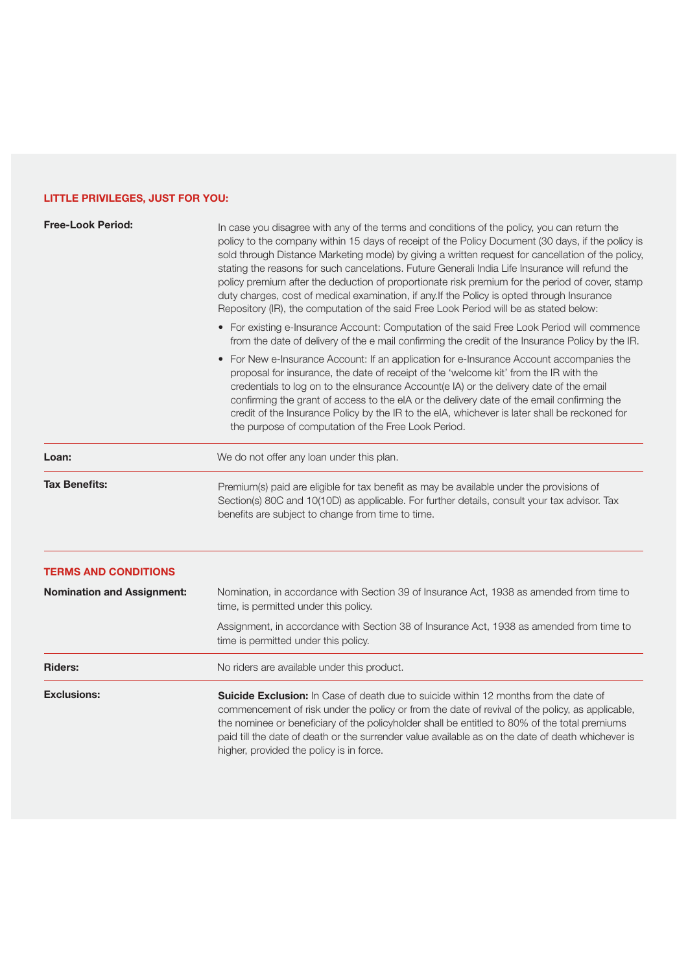# **LITTLE PRIVILEGES, JUST FOR YOU:**

| <b>Free-Look Period:</b>          | In case you disagree with any of the terms and conditions of the policy, you can return the<br>policy to the company within 15 days of receipt of the Policy Document (30 days, if the policy is<br>sold through Distance Marketing mode) by giving a written request for cancellation of the policy,<br>stating the reasons for such cancelations. Future Generali India Life Insurance will refund the<br>policy premium after the deduction of proportionate risk premium for the period of cover, stamp<br>duty charges, cost of medical examination, if any. If the Policy is opted through Insurance<br>Repository (IR), the computation of the said Free Look Period will be as stated below: |  |
|-----------------------------------|------------------------------------------------------------------------------------------------------------------------------------------------------------------------------------------------------------------------------------------------------------------------------------------------------------------------------------------------------------------------------------------------------------------------------------------------------------------------------------------------------------------------------------------------------------------------------------------------------------------------------------------------------------------------------------------------------|--|
|                                   | • For existing e-Insurance Account: Computation of the said Free Look Period will commence<br>from the date of delivery of the e mail confirming the credit of the Insurance Policy by the IR.                                                                                                                                                                                                                                                                                                                                                                                                                                                                                                       |  |
|                                   | • For New e-Insurance Account: If an application for e-Insurance Account accompanies the<br>proposal for insurance, the date of receipt of the 'welcome kit' from the IR with the<br>credentials to log on to the elnsurance Account(e IA) or the delivery date of the email<br>confirming the grant of access to the eIA or the delivery date of the email confirming the<br>credit of the Insurance Policy by the IR to the eIA, whichever is later shall be reckoned for<br>the purpose of computation of the Free Look Period.                                                                                                                                                                   |  |
| Loan:                             | We do not offer any loan under this plan.                                                                                                                                                                                                                                                                                                                                                                                                                                                                                                                                                                                                                                                            |  |
| <b>Tax Benefits:</b>              | Premium(s) paid are eligible for tax benefit as may be available under the provisions of<br>Section(s) 80C and 10(10D) as applicable. For further details, consult your tax advisor. Tax<br>benefits are subject to change from time to time.                                                                                                                                                                                                                                                                                                                                                                                                                                                        |  |
| <b>TERMS AND CONDITIONS</b>       |                                                                                                                                                                                                                                                                                                                                                                                                                                                                                                                                                                                                                                                                                                      |  |
| <b>Nomination and Assignment:</b> | Nomination, in accordance with Section 39 of Insurance Act, 1938 as amended from time to<br>time, is permitted under this policy.                                                                                                                                                                                                                                                                                                                                                                                                                                                                                                                                                                    |  |
|                                   | Assignment, in accordance with Section 38 of Insurance Act, 1938 as amended from time to<br>time is permitted under this policy.                                                                                                                                                                                                                                                                                                                                                                                                                                                                                                                                                                     |  |
| <b>Riders:</b>                    | No riders are available under this product.                                                                                                                                                                                                                                                                                                                                                                                                                                                                                                                                                                                                                                                          |  |
| <b>Exclusions:</b>                | <b>Suicide Exclusion:</b> In Case of death due to suicide within 12 months from the date of<br>commencement of risk under the policy or from the date of revival of the policy, as applicable,<br>the nominee or beneficiary of the policyholder shall be entitled to 80% of the total premiums<br>paid till the date of death or the surrender value available as on the date of death whichever is<br>higher, provided the policy is in force.                                                                                                                                                                                                                                                     |  |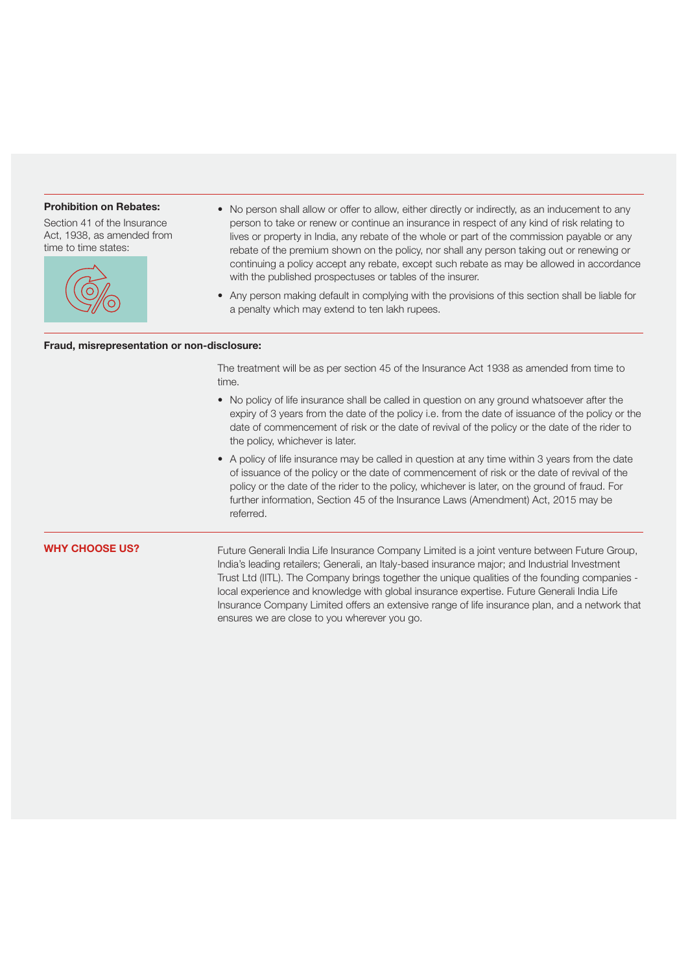## **Prohibition on Rebates:**

Section 41 of the Insurance Act, 1938, as amended from time to time states:



- No person shall allow or offer to allow, either directly or indirectly, as an inducement to any person to take or renew or continue an insurance in respect of any kind of risk relating to lives or property in India, any rebate of the whole or part of the commission payable or any rebate of the premium shown on the policy, nor shall any person taking out or renewing or continuing a policy accept any rebate, except such rebate as may be allowed in accordance with the published prospectuses or tables of the insurer.
- Any person making default in complying with the provisions of this section shall be liable for a penalty which may extend to ten lakh rupees.

## **Fraud, misrepresentation or non-disclosure:**

The treatment will be as per section 45 of the Insurance Act 1938 as amended from time to time.

- No policy of life insurance shall be called in question on any ground whatsoever after the expiry of 3 years from the date of the policy i.e. from the date of issuance of the policy or the date of commencement of risk or the date of revival of the policy or the date of the rider to the policy, whichever is later.
- A policy of life insurance may be called in question at any time within 3 years from the date of issuance of the policy or the date of commencement of risk or the date of revival of the policy or the date of the rider to the policy, whichever is later, on the ground of fraud. For further information, Section 45 of the Insurance Laws (Amendment) Act, 2015 may be referred.

# **WHY CHOOSE US?**

Future Generali India Life Insurance Company Limited is a joint venture between Future Group, India's leading retailers; Generali, an Italy-based insurance major; and Industrial Investment Trust Ltd (IITL). The Company brings together the unique qualities of the founding companies local experience and knowledge with global insurance expertise. Future Generali India Life Insurance Company Limited offers an extensive range of life insurance plan, and a network that ensures we are close to you wherever you go.